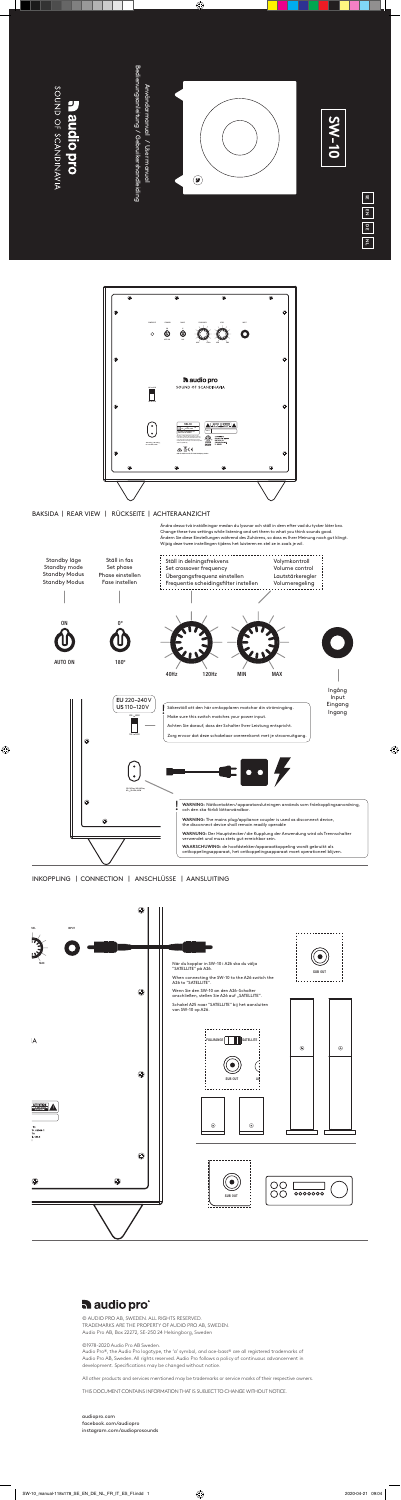Audio Pro®, the Audio Pro logotype, the 'a' symbol, and ace-bass® are all registered trademarks of Audio Pro AB, Sweden. All rights reserved. Audio Pro follows a policy of continuous advancement in development. Specifications may be changed without notice.

© AUDIO PRO AB, SWEDEN. ALL RIGHTS RESERVED. TRADEMARKS ARE THE PROPERTY OF AUDIO PRO AB, SWEDEN.

Audio Pro AB, Box 22272, SE-250 24 Helsingborg, Sweden

©1978-2020 Audio Pro AB Sweden.

All other products and services mentioned may be trademarks or service marks of their respective owners.

# THIS DOCUMENT CONTAINS INFORMATION THAT IS SUBJECT TO CHANGE WITHOUT NOTICE.



audio pro

# SOUND OF SCANDINAVIA **Baudiopro**

Bedienungsanleitung / Gebruikershandleiding Bedienungsanleitung / Gebruikershandleiding Användarmanual / User manual Användarmanual / User manual



audiopro.com facebook.com/audiopro instagram.com/audioprosounds





| 쏢 |  |
|---|--|
| 핒 |  |
| ă |  |
| Ζ |  |

INKOPPLING | CONNECTION | ANSCHLÜSSE | AANSLUITING



Ändra dessa två inställningar medan du lyssnar och ställ in dem efter vad du tycker låter bra. Change these two settings while listening and set them to what you think sounds good. Ändern Sie diese Einstellungen während des Zuhörens, so dass es Ihrer Meinung nach gut klingt. Wijzig deze twee instellingen tijdens het luisteren en stel ze in zoals je wil.

BAKSIDA | REAR VIEW | RÜCKSEITE | ACHTERAANZICHT